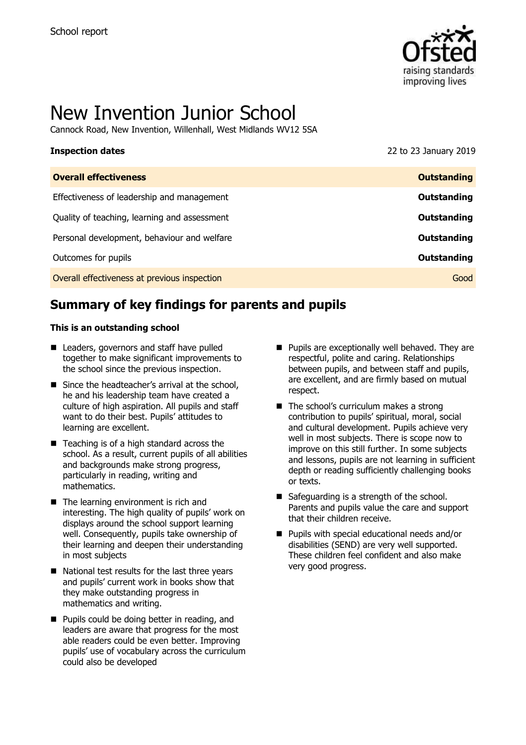

# New Invention Junior School

Cannock Road, New Invention, Willenhall, West Midlands WV12 5SA

| <b>Inspection dates</b>                      | 22 to 23 January 2019 |
|----------------------------------------------|-----------------------|
| <b>Overall effectiveness</b>                 | <b>Outstanding</b>    |
| Effectiveness of leadership and management   | <b>Outstanding</b>    |
| Quality of teaching, learning and assessment | Outstanding           |
| Personal development, behaviour and welfare  | <b>Outstanding</b>    |
| Outcomes for pupils                          | Outstanding           |
| Overall effectiveness at previous inspection | Good                  |

## **Summary of key findings for parents and pupils**

#### **This is an outstanding school**

- Leaders, governors and staff have pulled together to make significant improvements to the school since the previous inspection.
- $\blacksquare$  Since the headteacher's arrival at the school, he and his leadership team have created a culture of high aspiration. All pupils and staff want to do their best. Pupils' attitudes to learning are excellent.
- Teaching is of a high standard across the school. As a result, current pupils of all abilities and backgrounds make strong progress, particularly in reading, writing and mathematics.
- The learning environment is rich and interesting. The high quality of pupils' work on displays around the school support learning well. Consequently, pupils take ownership of their learning and deepen their understanding in most subjects
- National test results for the last three years and pupils' current work in books show that they make outstanding progress in mathematics and writing.
- **Pupils could be doing better in reading, and** leaders are aware that progress for the most able readers could be even better. Improving pupils' use of vocabulary across the curriculum could also be developed
- **Pupils are exceptionally well behaved. They are** respectful, polite and caring. Relationships between pupils, and between staff and pupils, are excellent, and are firmly based on mutual respect.
- $\blacksquare$  The school's curriculum makes a strong contribution to pupils' spiritual, moral, social and cultural development. Pupils achieve very well in most subjects. There is scope now to improve on this still further. In some subjects and lessons, pupils are not learning in sufficient depth or reading sufficiently challenging books or texts.
- Safeguarding is a strength of the school. Parents and pupils value the care and support that their children receive.
- **Pupils with special educational needs and/or** disabilities (SEND) are very well supported. These children feel confident and also make very good progress.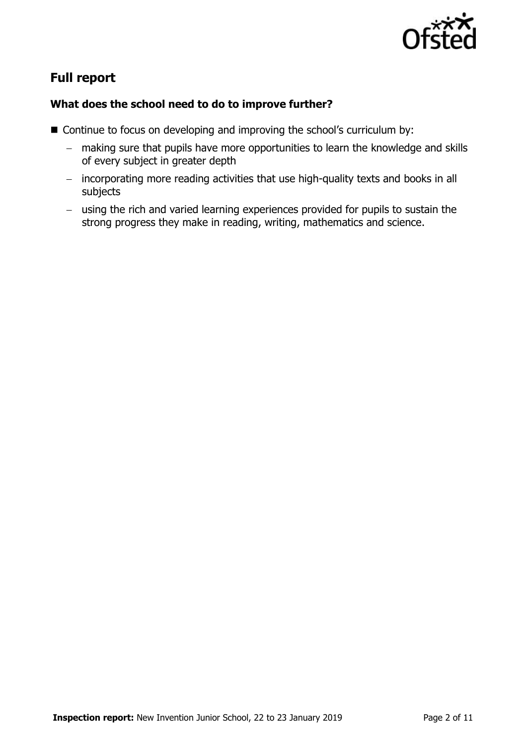

# **Full report**

### **What does the school need to do to improve further?**

- Continue to focus on developing and improving the school's curriculum by:
	- making sure that pupils have more opportunities to learn the knowledge and skills of every subject in greater depth
	- incorporating more reading activities that use high-quality texts and books in all subjects
	- using the rich and varied learning experiences provided for pupils to sustain the strong progress they make in reading, writing, mathematics and science.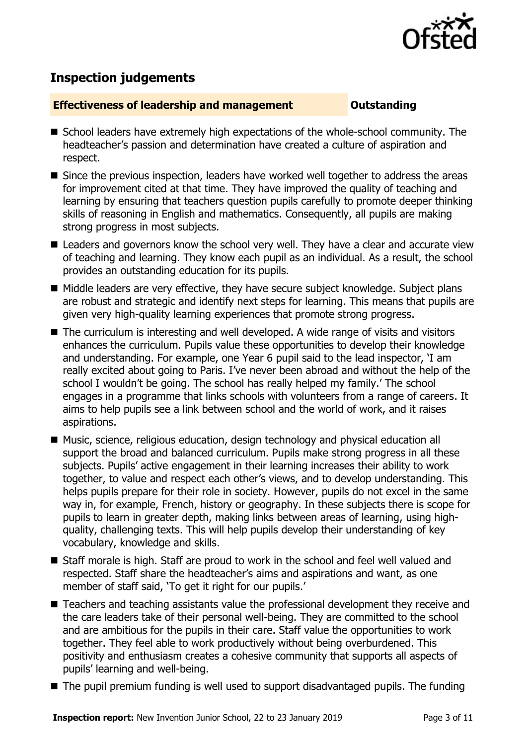

# **Inspection judgements**

#### **Effectiveness of leadership and management Constanding**

- School leaders have extremely high expectations of the whole-school community. The headteacher's passion and determination have created a culture of aspiration and respect.
- Since the previous inspection, leaders have worked well together to address the areas for improvement cited at that time. They have improved the quality of teaching and learning by ensuring that teachers question pupils carefully to promote deeper thinking skills of reasoning in English and mathematics. Consequently, all pupils are making strong progress in most subjects.
- Leaders and governors know the school very well. They have a clear and accurate view of teaching and learning. They know each pupil as an individual. As a result, the school provides an outstanding education for its pupils.
- Middle leaders are very effective, they have secure subject knowledge. Subject plans are robust and strategic and identify next steps for learning. This means that pupils are given very high-quality learning experiences that promote strong progress.
- The curriculum is interesting and well developed. A wide range of visits and visitors enhances the curriculum. Pupils value these opportunities to develop their knowledge and understanding. For example, one Year 6 pupil said to the lead inspector, 'I am really excited about going to Paris. I've never been abroad and without the help of the school I wouldn't be going. The school has really helped my family.' The school engages in a programme that links schools with volunteers from a range of careers. It aims to help pupils see a link between school and the world of work, and it raises aspirations.
- Music, science, religious education, design technology and physical education all support the broad and balanced curriculum. Pupils make strong progress in all these subjects. Pupils' active engagement in their learning increases their ability to work together, to value and respect each other's views, and to develop understanding. This helps pupils prepare for their role in society. However, pupils do not excel in the same way in, for example, French, history or geography. In these subjects there is scope for pupils to learn in greater depth, making links between areas of learning, using highquality, challenging texts. This will help pupils develop their understanding of key vocabulary, knowledge and skills.
- Staff morale is high. Staff are proud to work in the school and feel well valued and respected. Staff share the headteacher's aims and aspirations and want, as one member of staff said, 'To get it right for our pupils.'
- Teachers and teaching assistants value the professional development they receive and the care leaders take of their personal well-being. They are committed to the school and are ambitious for the pupils in their care. Staff value the opportunities to work together. They feel able to work productively without being overburdened. This positivity and enthusiasm creates a cohesive community that supports all aspects of pupils' learning and well-being.
- The pupil premium funding is well used to support disadvantaged pupils. The funding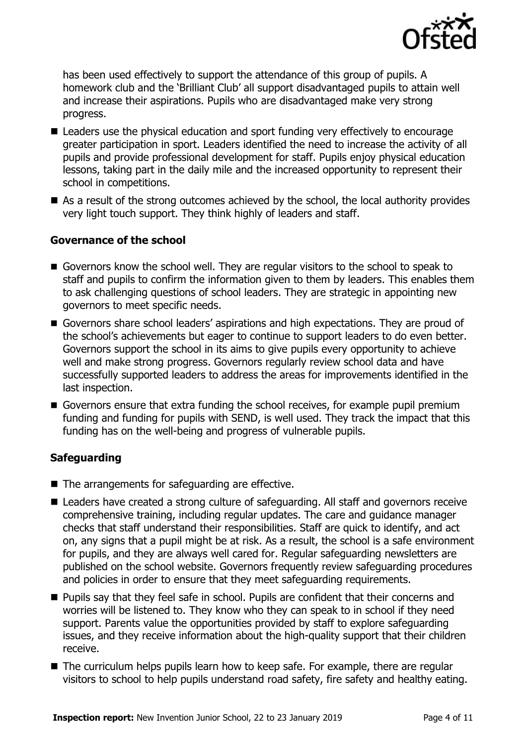

has been used effectively to support the attendance of this group of pupils. A homework club and the 'Brilliant Club' all support disadvantaged pupils to attain well and increase their aspirations. Pupils who are disadvantaged make very strong progress.

- Leaders use the physical education and sport funding very effectively to encourage greater participation in sport. Leaders identified the need to increase the activity of all pupils and provide professional development for staff. Pupils enjoy physical education lessons, taking part in the daily mile and the increased opportunity to represent their school in competitions.
- As a result of the strong outcomes achieved by the school, the local authority provides very light touch support. They think highly of leaders and staff.

### **Governance of the school**

- Governors know the school well. They are regular visitors to the school to speak to staff and pupils to confirm the information given to them by leaders. This enables them to ask challenging questions of school leaders. They are strategic in appointing new governors to meet specific needs.
- Governors share school leaders' aspirations and high expectations. They are proud of the school's achievements but eager to continue to support leaders to do even better. Governors support the school in its aims to give pupils every opportunity to achieve well and make strong progress. Governors regularly review school data and have successfully supported leaders to address the areas for improvements identified in the last inspection.
- Governors ensure that extra funding the school receives, for example pupil premium funding and funding for pupils with SEND, is well used. They track the impact that this funding has on the well-being and progress of vulnerable pupils.

### **Safeguarding**

- The arrangements for safeguarding are effective.
- Leaders have created a strong culture of safeguarding. All staff and governors receive comprehensive training, including regular updates. The care and guidance manager checks that staff understand their responsibilities. Staff are quick to identify, and act on, any signs that a pupil might be at risk. As a result, the school is a safe environment for pupils, and they are always well cared for. Regular safeguarding newsletters are published on the school website. Governors frequently review safeguarding procedures and policies in order to ensure that they meet safeguarding requirements.
- **Pupils say that they feel safe in school. Pupils are confident that their concerns and** worries will be listened to. They know who they can speak to in school if they need support. Parents value the opportunities provided by staff to explore safeguarding issues, and they receive information about the high-quality support that their children receive.
- The curriculum helps pupils learn how to keep safe. For example, there are regular visitors to school to help pupils understand road safety, fire safety and healthy eating.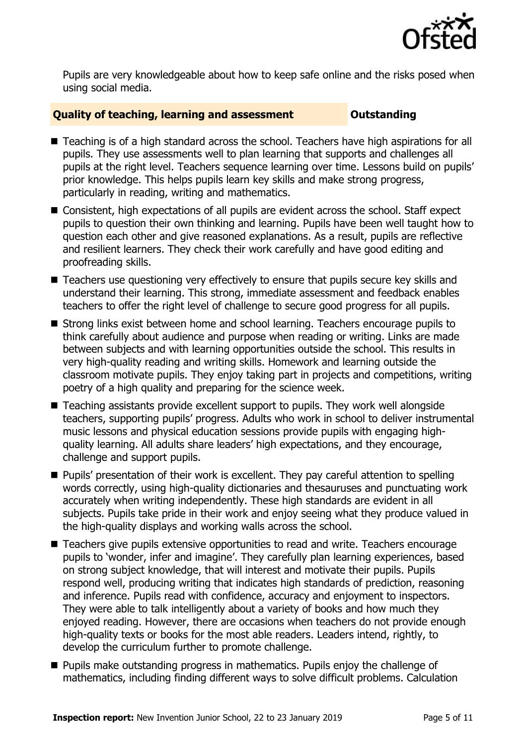

Pupils are very knowledgeable about how to keep safe online and the risks posed when using social media.

#### **Quality of teaching, learning and assessment Outstanding**

- Teaching is of a high standard across the school. Teachers have high aspirations for all pupils. They use assessments well to plan learning that supports and challenges all pupils at the right level. Teachers sequence learning over time. Lessons build on pupils' prior knowledge. This helps pupils learn key skills and make strong progress, particularly in reading, writing and mathematics.
- Consistent, high expectations of all pupils are evident across the school. Staff expect pupils to question their own thinking and learning. Pupils have been well taught how to question each other and give reasoned explanations. As a result, pupils are reflective and resilient learners. They check their work carefully and have good editing and proofreading skills.
- Teachers use questioning very effectively to ensure that pupils secure key skills and understand their learning. This strong, immediate assessment and feedback enables teachers to offer the right level of challenge to secure good progress for all pupils.
- Strong links exist between home and school learning. Teachers encourage pupils to think carefully about audience and purpose when reading or writing. Links are made between subjects and with learning opportunities outside the school. This results in very high-quality reading and writing skills. Homework and learning outside the classroom motivate pupils. They enjoy taking part in projects and competitions, writing poetry of a high quality and preparing for the science week.
- Teaching assistants provide excellent support to pupils. They work well alongside teachers, supporting pupils' progress. Adults who work in school to deliver instrumental music lessons and physical education sessions provide pupils with engaging highquality learning. All adults share leaders' high expectations, and they encourage, challenge and support pupils.
- **Pupils'** presentation of their work is excellent. They pay careful attention to spelling words correctly, using high-quality dictionaries and thesauruses and punctuating work accurately when writing independently. These high standards are evident in all subjects. Pupils take pride in their work and enjoy seeing what they produce valued in the high-quality displays and working walls across the school.
- Teachers give pupils extensive opportunities to read and write. Teachers encourage pupils to 'wonder, infer and imagine'. They carefully plan learning experiences, based on strong subject knowledge, that will interest and motivate their pupils. Pupils respond well, producing writing that indicates high standards of prediction, reasoning and inference. Pupils read with confidence, accuracy and enjoyment to inspectors. They were able to talk intelligently about a variety of books and how much they enjoyed reading. However, there are occasions when teachers do not provide enough high-quality texts or books for the most able readers. Leaders intend, rightly, to develop the curriculum further to promote challenge.
- **Pupils make outstanding progress in mathematics. Pupils enjoy the challenge of** mathematics, including finding different ways to solve difficult problems. Calculation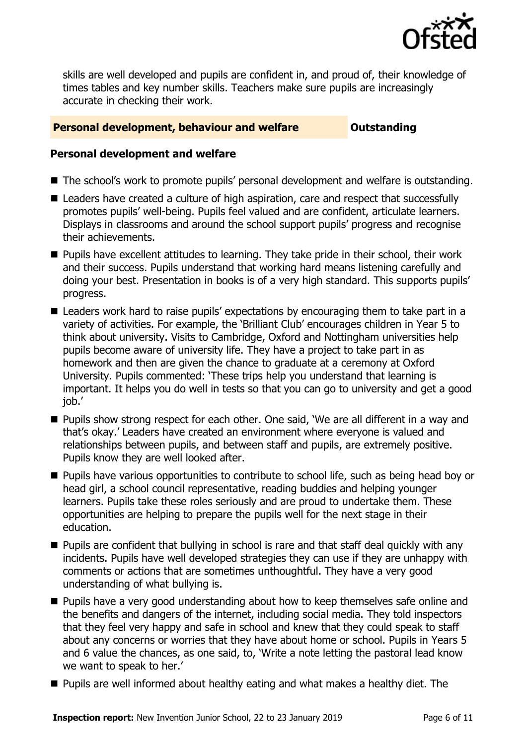

skills are well developed and pupils are confident in, and proud of, their knowledge of times tables and key number skills. Teachers make sure pupils are increasingly accurate in checking their work.

#### **Personal development, behaviour and welfare <b>COUNG COULTS** Outstanding

#### **Personal development and welfare**

- The school's work to promote pupils' personal development and welfare is outstanding.
- Leaders have created a culture of high aspiration, care and respect that successfully promotes pupils' well-being. Pupils feel valued and are confident, articulate learners. Displays in classrooms and around the school support pupils' progress and recognise their achievements.
- **Pupils have excellent attitudes to learning. They take pride in their school, their work** and their success. Pupils understand that working hard means listening carefully and doing your best. Presentation in books is of a very high standard. This supports pupils' progress.
- Leaders work hard to raise pupils' expectations by encouraging them to take part in a variety of activities. For example, the 'Brilliant Club' encourages children in Year 5 to think about university. Visits to Cambridge, Oxford and Nottingham universities help pupils become aware of university life. They have a project to take part in as homework and then are given the chance to graduate at a ceremony at Oxford University. Pupils commented: 'These trips help you understand that learning is important. It helps you do well in tests so that you can go to university and get a good job.'
- Pupils show strong respect for each other. One said, 'We are all different in a way and that's okay.' Leaders have created an environment where everyone is valued and relationships between pupils, and between staff and pupils, are extremely positive. Pupils know they are well looked after.
- **Pupils have various opportunities to contribute to school life, such as being head boy or** head girl, a school council representative, reading buddies and helping younger learners. Pupils take these roles seriously and are proud to undertake them. These opportunities are helping to prepare the pupils well for the next stage in their education.
- **Pupils are confident that bullying in school is rare and that staff deal quickly with any** incidents. Pupils have well developed strategies they can use if they are unhappy with comments or actions that are sometimes unthoughtful. They have a very good understanding of what bullying is.
- **Pupils have a very good understanding about how to keep themselves safe online and** the benefits and dangers of the internet, including social media. They told inspectors that they feel very happy and safe in school and knew that they could speak to staff about any concerns or worries that they have about home or school. Pupils in Years 5 and 6 value the chances, as one said, to, 'Write a note letting the pastoral lead know we want to speak to her.'
- **Pupils are well informed about healthy eating and what makes a healthy diet. The**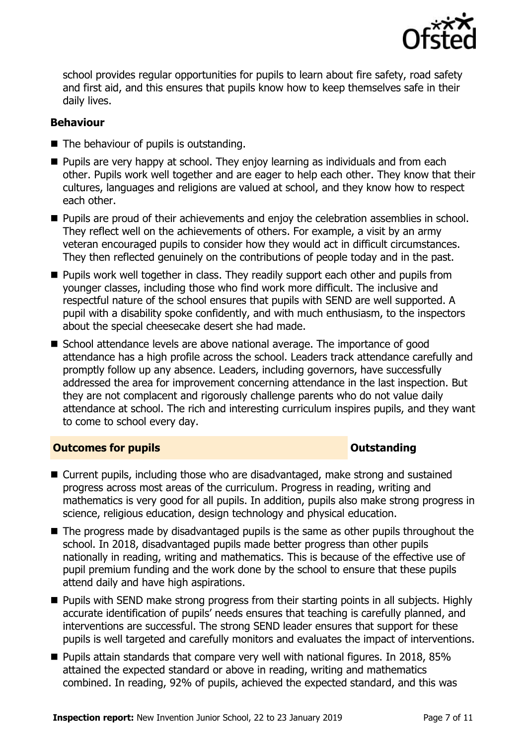

school provides regular opportunities for pupils to learn about fire safety, road safety and first aid, and this ensures that pupils know how to keep themselves safe in their daily lives.

### **Behaviour**

- The behaviour of pupils is outstanding.
- **Pupils are very happy at school. They enjoy learning as individuals and from each** other. Pupils work well together and are eager to help each other. They know that their cultures, languages and religions are valued at school, and they know how to respect each other.
- **Pupils are proud of their achievements and enjoy the celebration assemblies in school.** They reflect well on the achievements of others. For example, a visit by an army veteran encouraged pupils to consider how they would act in difficult circumstances. They then reflected genuinely on the contributions of people today and in the past.
- **Pupils work well together in class. They readily support each other and pupils from** younger classes, including those who find work more difficult. The inclusive and respectful nature of the school ensures that pupils with SEND are well supported. A pupil with a disability spoke confidently, and with much enthusiasm, to the inspectors about the special cheesecake desert she had made.
- School attendance levels are above national average. The importance of good attendance has a high profile across the school. Leaders track attendance carefully and promptly follow up any absence. Leaders, including governors, have successfully addressed the area for improvement concerning attendance in the last inspection. But they are not complacent and rigorously challenge parents who do not value daily attendance at school. The rich and interesting curriculum inspires pupils, and they want to come to school every day.

### **Outcomes for pupils Outstanding**

- Current pupils, including those who are disadvantaged, make strong and sustained progress across most areas of the curriculum. Progress in reading, writing and mathematics is very good for all pupils. In addition, pupils also make strong progress in science, religious education, design technology and physical education.
- The progress made by disadvantaged pupils is the same as other pupils throughout the school. In 2018, disadvantaged pupils made better progress than other pupils nationally in reading, writing and mathematics. This is because of the effective use of pupil premium funding and the work done by the school to ensure that these pupils attend daily and have high aspirations.
- **Pupils with SEND make strong progress from their starting points in all subjects. Highly** accurate identification of pupils' needs ensures that teaching is carefully planned, and interventions are successful. The strong SEND leader ensures that support for these pupils is well targeted and carefully monitors and evaluates the impact of interventions.
- **Pupils attain standards that compare very well with national figures. In 2018, 85%** attained the expected standard or above in reading, writing and mathematics combined. In reading, 92% of pupils, achieved the expected standard, and this was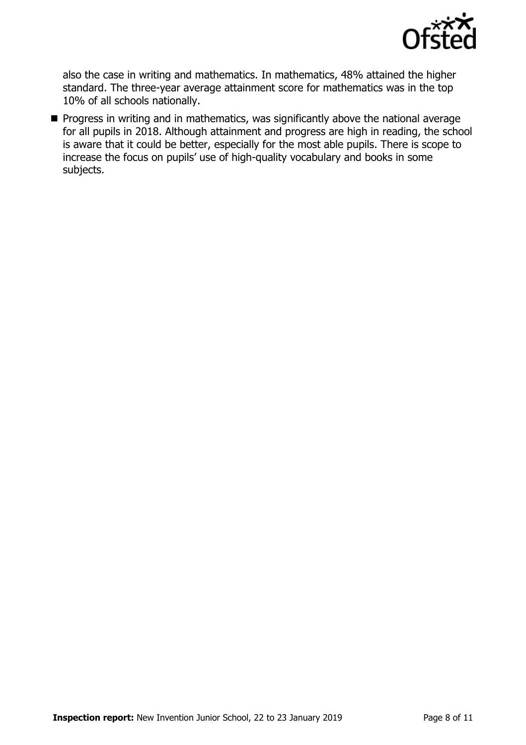

also the case in writing and mathematics. In mathematics, 48% attained the higher standard. The three-year average attainment score for mathematics was in the top 10% of all schools nationally.

**Progress in writing and in mathematics, was significantly above the national average** for all pupils in 2018. Although attainment and progress are high in reading, the school is aware that it could be better, especially for the most able pupils. There is scope to increase the focus on pupils' use of high-quality vocabulary and books in some subjects.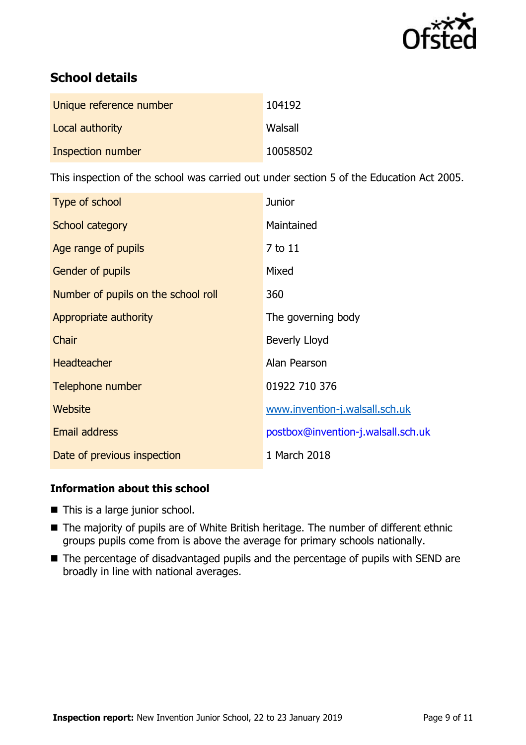

# **School details**

| Unique reference number | 104192   |
|-------------------------|----------|
| Local authority         | Walsall  |
| Inspection number       | 10058502 |

This inspection of the school was carried out under section 5 of the Education Act 2005.

| Type of school                      | <b>Junior</b>                      |
|-------------------------------------|------------------------------------|
| School category                     | Maintained                         |
| Age range of pupils                 | 7 to 11                            |
| <b>Gender of pupils</b>             | Mixed                              |
| Number of pupils on the school roll | 360                                |
| Appropriate authority               | The governing body                 |
| Chair                               | <b>Beverly Lloyd</b>               |
| <b>Headteacher</b>                  | Alan Pearson                       |
| Telephone number                    | 01922 710 376                      |
| Website                             | www.invention-j.walsall.sch.uk     |
| <b>Email address</b>                | postbox@invention-j.walsall.sch.uk |
| Date of previous inspection         | 1 March 2018                       |

### **Information about this school**

- This is a large junior school.
- The majority of pupils are of White British heritage. The number of different ethnic groups pupils come from is above the average for primary schools nationally.
- The percentage of disadvantaged pupils and the percentage of pupils with SEND are broadly in line with national averages.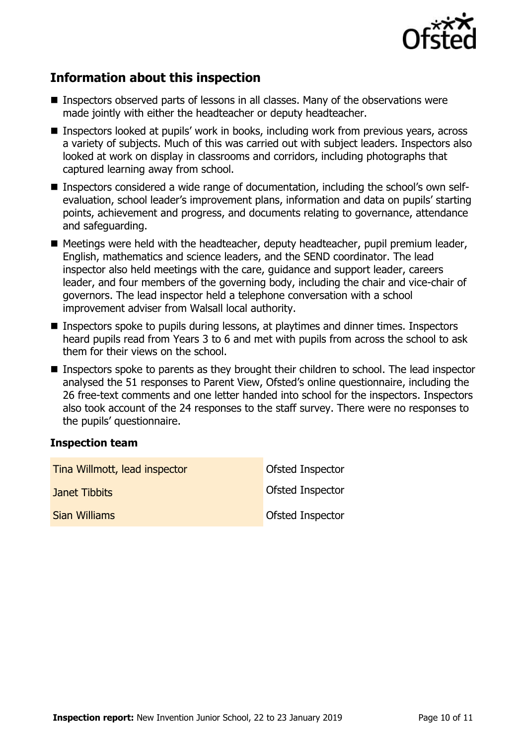

# **Information about this inspection**

- Inspectors observed parts of lessons in all classes. Many of the observations were made jointly with either the headteacher or deputy headteacher.
- Inspectors looked at pupils' work in books, including work from previous years, across a variety of subjects. Much of this was carried out with subject leaders. Inspectors also looked at work on display in classrooms and corridors, including photographs that captured learning away from school.
- Inspectors considered a wide range of documentation, including the school's own selfevaluation, school leader's improvement plans, information and data on pupils' starting points, achievement and progress, and documents relating to governance, attendance and safeguarding.
- Meetings were held with the headteacher, deputy headteacher, pupil premium leader, English, mathematics and science leaders, and the SEND coordinator. The lead inspector also held meetings with the care, guidance and support leader, careers leader, and four members of the governing body, including the chair and vice-chair of governors. The lead inspector held a telephone conversation with a school improvement adviser from Walsall local authority.
- Inspectors spoke to pupils during lessons, at playtimes and dinner times. Inspectors heard pupils read from Years 3 to 6 and met with pupils from across the school to ask them for their views on the school.
- Inspectors spoke to parents as they brought their children to school. The lead inspector analysed the 51 responses to Parent View, Ofsted's online questionnaire, including the 26 free-text comments and one letter handed into school for the inspectors. Inspectors also took account of the 24 responses to the staff survey. There were no responses to the pupils' questionnaire.

#### **Inspection team**

| Tina Willmott, lead inspector | <b>Ofsted Inspector</b> |
|-------------------------------|-------------------------|
| Janet Tibbits                 | <b>Ofsted Inspector</b> |
| <b>Sian Williams</b>          | <b>Ofsted Inspector</b> |